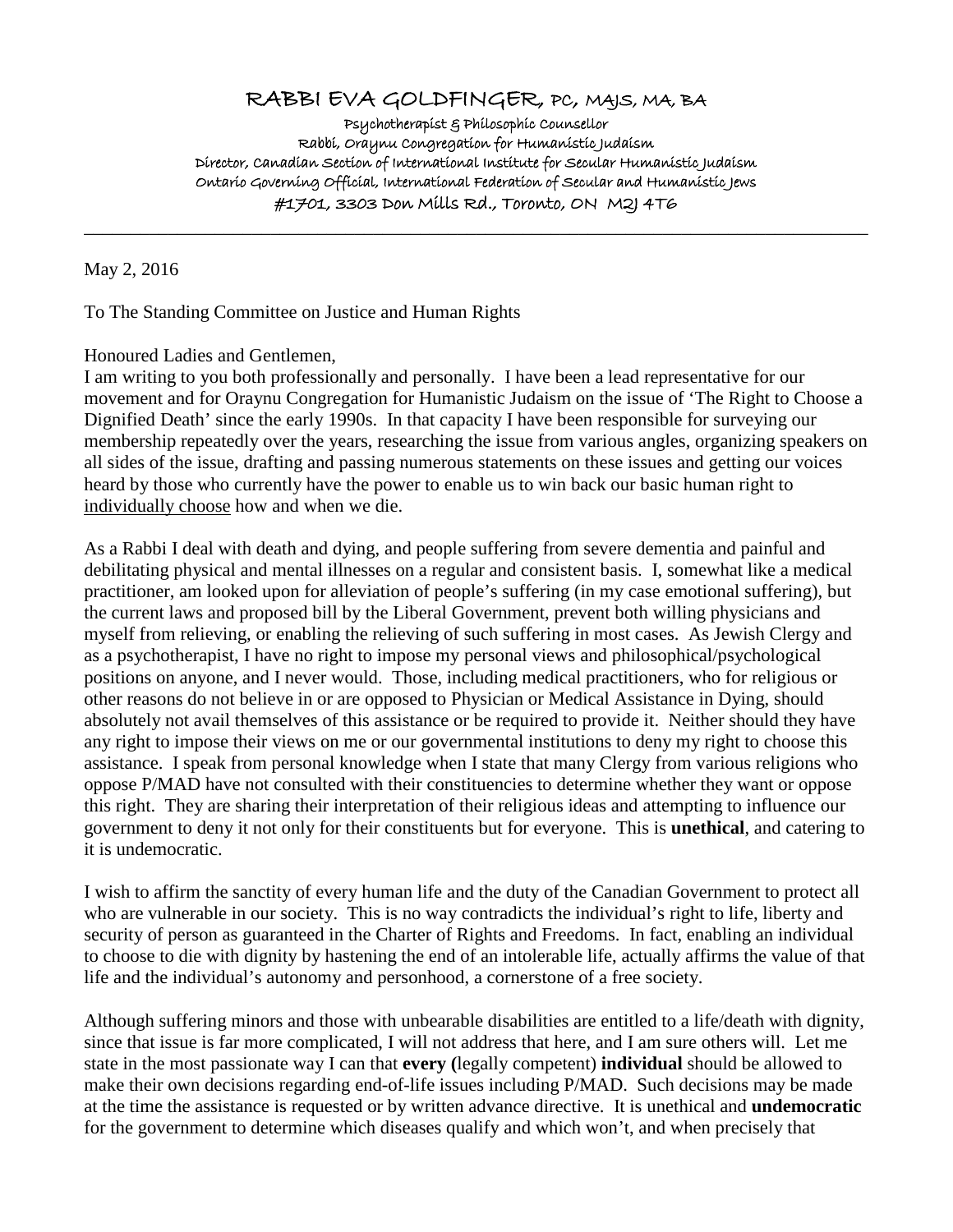## RABBI EVA GOLDFINGER, PC, MAJS, MA, BA

Psychotherapist & Philosophic Counsellor Rabbi, Oraynu Congregation for Humanistic Judaism Director, Canadian Section of International Institute for Secular Humanistic Judaism Ontario Governing Official, International Federation of Secular and Humanistic Jews #1701, 3303 Don Mills Rd., Toronto, ON M2J 4T6

\_\_\_\_\_\_\_\_\_\_\_\_\_\_\_\_\_\_\_\_\_\_\_\_\_\_\_\_\_\_\_\_\_\_\_\_\_\_\_\_\_\_\_\_\_\_\_\_\_\_\_\_\_\_\_\_\_\_\_\_\_\_\_\_\_\_\_\_\_\_\_\_\_\_\_\_\_\_\_\_\_\_\_\_

May 2, 2016

To The Standing Committee on Justice and Human Rights

Honoured Ladies and Gentlemen,

I am writing to you both professionally and personally. I have been a lead representative for our movement and for Oraynu Congregation for Humanistic Judaism on the issue of 'The Right to Choose a Dignified Death' since the early 1990s. In that capacity I have been responsible for surveying our membership repeatedly over the years, researching the issue from various angles, organizing speakers on all sides of the issue, drafting and passing numerous statements on these issues and getting our voices heard by those who currently have the power to enable us to win back our basic human right to individually choose how and when we die.

As a Rabbi I deal with death and dying, and people suffering from severe dementia and painful and debilitating physical and mental illnesses on a regular and consistent basis. I, somewhat like a medical practitioner, am looked upon for alleviation of people's suffering (in my case emotional suffering), but the current laws and proposed bill by the Liberal Government, prevent both willing physicians and myself from relieving, or enabling the relieving of such suffering in most cases. As Jewish Clergy and as a psychotherapist, I have no right to impose my personal views and philosophical/psychological positions on anyone, and I never would. Those, including medical practitioners, who for religious or other reasons do not believe in or are opposed to Physician or Medical Assistance in Dying, should absolutely not avail themselves of this assistance or be required to provide it. Neither should they have any right to impose their views on me or our governmental institutions to deny my right to choose this assistance. I speak from personal knowledge when I state that many Clergy from various religions who oppose P/MAD have not consulted with their constituencies to determine whether they want or oppose this right. They are sharing their interpretation of their religious ideas and attempting to influence our government to deny it not only for their constituents but for everyone. This is **unethical**, and catering to it is undemocratic.

I wish to affirm the sanctity of every human life and the duty of the Canadian Government to protect all who are vulnerable in our society. This is no way contradicts the individual's right to life, liberty and security of person as guaranteed in the Charter of Rights and Freedoms. In fact, enabling an individual to choose to die with dignity by hastening the end of an intolerable life, actually affirms the value of that life and the individual's autonomy and personhood, a cornerstone of a free society.

Although suffering minors and those with unbearable disabilities are entitled to a life/death with dignity, since that issue is far more complicated, I will not address that here, and I am sure others will. Let me state in the most passionate way I can that **every (**legally competent) **individual** should be allowed to make their own decisions regarding end-of-life issues including P/MAD. Such decisions may be made at the time the assistance is requested or by written advance directive. It is unethical and **undemocratic** for the government to determine which diseases qualify and which won't, and when precisely that